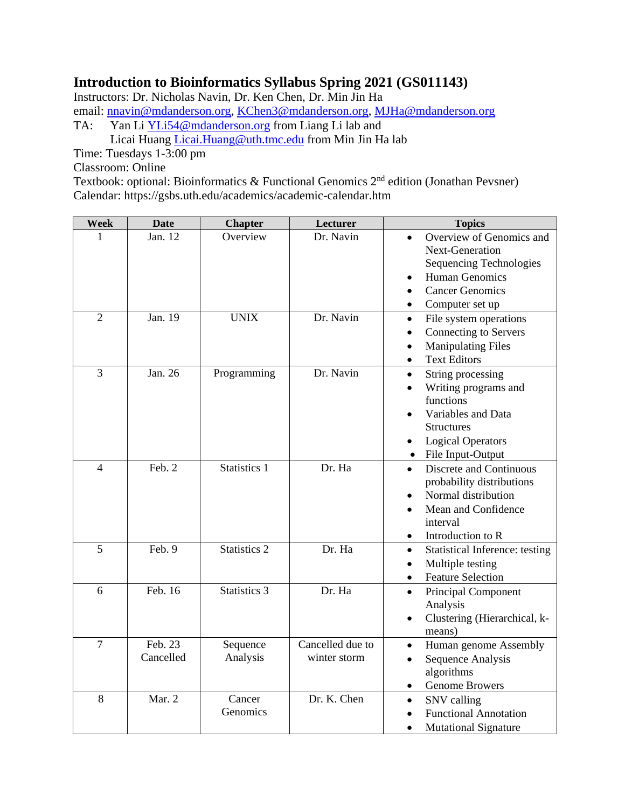## **Introduction to Bioinformatics Syllabus Spring 2021 (GS011143)**

Instructors: Dr. Nicholas Navin, Dr. Ken Chen, Dr. Min Jin Ha email: [nnavin@mdanderson.org,](mailto:nnavin@mdanderson.org) [KChen3@mdanderson.org,](mailto:KChen3@mdanderson.org) [MJHa@mdanderson.org](mailto:MJHa@mdanderson.org) TA: Yan Li [YLi54@mdanderson.org](mailto:YLi54@mdanderson.org) from Liang Li lab and

Licai Huang [Licai.Huang@uth.tmc.edu](mailto:Licai.Huang@uth.tmc.edu) from Min Jin Ha lab

Time: Tuesdays 1-3:00 pm

Classroom: Online

Textbook: optional: Bioinformatics & Functional Genomics  $2<sup>nd</sup>$  edition (Jonathan Pevsner) Calendar: https://gsbs.uth.edu/academics/academic-calendar.htm

| <b>Week</b>              | <b>Date</b>          | <b>Chapter</b>       | Lecturer                         | <b>Topics</b>                                                                                                                                                              |
|--------------------------|----------------------|----------------------|----------------------------------|----------------------------------------------------------------------------------------------------------------------------------------------------------------------------|
| 1                        | Jan. 12              | Overview             | Dr. Navin                        | Overview of Genomics and<br>$\bullet$<br><b>Next-Generation</b><br>Sequencing Technologies<br><b>Human Genomics</b><br><b>Cancer Genomics</b><br>Computer set up           |
| $\overline{2}$           | Jan. 19              | <b>UNIX</b>          | Dr. Navin                        | File system operations<br>$\bullet$<br>Connecting to Servers<br><b>Manipulating Files</b><br><b>Text Editors</b>                                                           |
| 3                        | Jan. 26              | Programming          | Dr. Navin                        | String processing<br>Writing programs and<br>functions<br>Variables and Data<br><b>Structures</b><br><b>Logical Operators</b><br>$\bullet$<br>File Input-Output            |
| $\overline{\mathcal{L}}$ | Feb. 2               | Statistics 1         | Dr. Ha                           | Discrete and Continuous<br>$\bullet$<br>probability distributions<br>Normal distribution<br>$\bullet$<br>Mean and Confidence<br>interval<br>Introduction to R<br>$\bullet$ |
| 5                        | Feb. 9               | Statistics 2         | Dr. Ha                           | <b>Statistical Inference: testing</b><br>$\bullet$<br>Multiple testing<br>$\bullet$<br><b>Feature Selection</b><br>$\bullet$                                               |
| 6                        | Feb. 16              | Statistics 3         | Dr. Ha                           | Principal Component<br>$\bullet$<br>Analysis<br>Clustering (Hierarchical, k-<br>٠<br>means)                                                                                |
| $\overline{7}$           | Feb. 23<br>Cancelled | Sequence<br>Analysis | Cancelled due to<br>winter storm | Human genome Assembly<br>$\bullet$<br>Sequence Analysis<br>$\bullet$<br>algorithms<br><b>Genome Browers</b>                                                                |
| 8                        | Mar. 2               | Cancer<br>Genomics   | Dr. K. Chen                      | SNV calling<br>$\bullet$<br><b>Functional Annotation</b><br><b>Mutational Signature</b>                                                                                    |